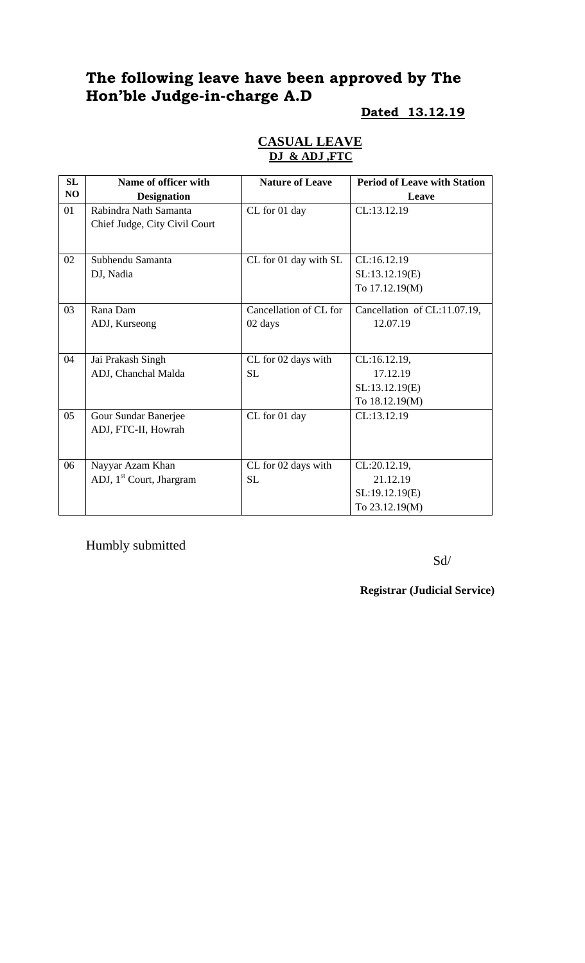# **The following leave have been approved by The Hon'ble Judge-in-charge A.D**

# **Dated 13.12.19**

### **CASUAL LEAVE DJ & ADJ ,FTC**

| SL | Name of officer with                 | <b>Nature of Leave</b> | <b>Period of Leave with Station</b> |
|----|--------------------------------------|------------------------|-------------------------------------|
| NO | <b>Designation</b>                   |                        | Leave                               |
| 01 | Rabindra Nath Samanta                | CL for 01 day          | CL:13.12.19                         |
|    | Chief Judge, City Civil Court        |                        |                                     |
|    |                                      |                        |                                     |
| 02 | Subhendu Samanta                     | CL for 01 day with SL  | CL:16.12.19                         |
|    | DJ, Nadia                            |                        | SL:13.12.19(E)                      |
|    |                                      |                        | To 17.12.19(M)                      |
| 03 | Rana Dam                             | Cancellation of CL for | Cancellation of CL:11.07.19,        |
|    | ADJ, Kurseong                        | 02 days                | 12.07.19                            |
|    |                                      |                        |                                     |
| 04 | Jai Prakash Singh                    | CL for 02 days with    | CL:16.12.19,                        |
|    | ADJ, Chanchal Malda                  | <b>SL</b>              | 17.12.19                            |
|    |                                      |                        | SL:13.12.19(E)                      |
|    |                                      |                        | To 18.12.19(M)                      |
| 05 | Gour Sundar Banerjee                 | CL for 01 day          | CL:13.12.19                         |
|    | ADJ, FTC-II, Howrah                  |                        |                                     |
|    |                                      |                        |                                     |
| 06 | Nayyar Azam Khan                     | CL for 02 days with    | CL:20.12.19,                        |
|    | ADJ, 1 <sup>st</sup> Court, Jhargram | <b>SL</b>              | 21.12.19                            |
|    |                                      |                        | SL:19.12.19(E)                      |
|    |                                      |                        | To 23.12.19(M)                      |

Humbly submitted

Sd/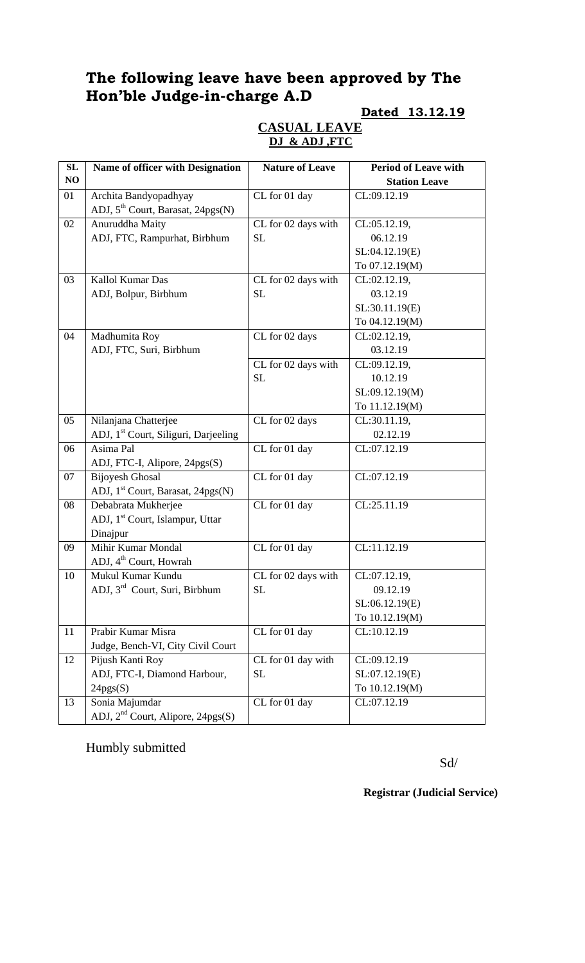# **The following leave have been approved by The Hon'ble Judge-in-charge A.D**

**Dated 13.12.19** 

## **CASUAL LEAVE DJ & ADJ ,FTC**

| ${\bf SL}$ | Name of officer with Designation                 | <b>Nature of Leave</b> | Period of Leave with |
|------------|--------------------------------------------------|------------------------|----------------------|
| NO         |                                                  |                        | <b>Station Leave</b> |
| 01         | Archita Bandyopadhyay                            | CL for 01 day          | CL:09.12.19          |
|            | ADJ, 5 <sup>th</sup> Court, Barasat, 24pgs(N)    |                        |                      |
| 02         | Anuruddha Maity                                  | CL for 02 days with    | CL:05.12.19,         |
|            | ADJ, FTC, Rampurhat, Birbhum                     | SL                     | 06.12.19             |
|            |                                                  |                        | SL:04.12.19(E)       |
|            |                                                  |                        | To 07.12.19(M)       |
| 03         | Kallol Kumar Das                                 | CL for 02 days with    | CL:02.12.19,         |
|            | ADJ, Bolpur, Birbhum                             | SL                     | 03.12.19             |
|            |                                                  |                        | SL:30.11.19(E)       |
|            |                                                  |                        | To 04.12.19(M)       |
| 04         | Madhumita Roy                                    | CL for 02 days         | CL:02.12.19,         |
|            | ADJ, FTC, Suri, Birbhum                          |                        | 03.12.19             |
|            |                                                  | CL for 02 days with    | CL:09.12.19,         |
|            |                                                  | <b>SL</b>              | 10.12.19             |
|            |                                                  |                        | SL:09.12.19(M)       |
|            |                                                  |                        | To 11.12.19(M)       |
| 05         | Nilanjana Chatterjee                             | CL for 02 days         | CL:30.11.19,         |
|            | ADJ, 1 <sup>st</sup> Court, Siliguri, Darjeeling |                        | 02.12.19             |
| 06         | Asima Pal                                        | CL for 01 day          | CL:07.12.19          |
|            | ADJ, FTC-I, Alipore, 24pgs(S)                    |                        |                      |
| 07         | <b>Bijoyesh Ghosal</b>                           | CL for 01 day          | CL:07.12.19          |
|            | ADJ, 1 <sup>st</sup> Court, Barasat, 24pgs(N)    |                        |                      |
| 08         | Debabrata Mukherjee                              | CL for 01 day          | CL:25.11.19          |
|            | ADJ, 1 <sup>st</sup> Court, Islampur, Uttar      |                        |                      |
|            | Dinajpur                                         |                        |                      |
| 09         | Mihir Kumar Mondal                               | CL for 01 day          | CL:11.12.19          |
|            | ADJ, 4 <sup>th</sup> Court, Howrah               |                        |                      |
| 10         | Mukul Kumar Kundu                                | CL for 02 days with    | CL:07.12.19,         |
|            | ADJ, 3rd Court, Suri, Birbhum                    | SL.                    | 09.12.19             |
|            |                                                  |                        | SL:06.12.19(E)       |
|            |                                                  |                        | To 10.12.19(M)       |
| 11         | Prabir Kumar Misra                               | CL for 01 day          | CL:10.12.19          |
|            | Judge, Bench-VI, City Civil Court                |                        |                      |
| 12         | Pijush Kanti Roy                                 | CL for 01 day with     | CL:09.12.19          |
|            | ADJ, FTC-I, Diamond Harbour,                     | <b>SL</b>              | SL:07.12.19(E)       |
|            | 24pgs(S)                                         |                        | To 10.12.19(M)       |
| 13         | Sonia Majumdar                                   | CL for 01 day          | CL:07.12.19          |
|            | ADJ, 2 <sup>nd</sup> Court, Alipore, 24pgs(S)    |                        |                      |

Humbly submitted

Sd/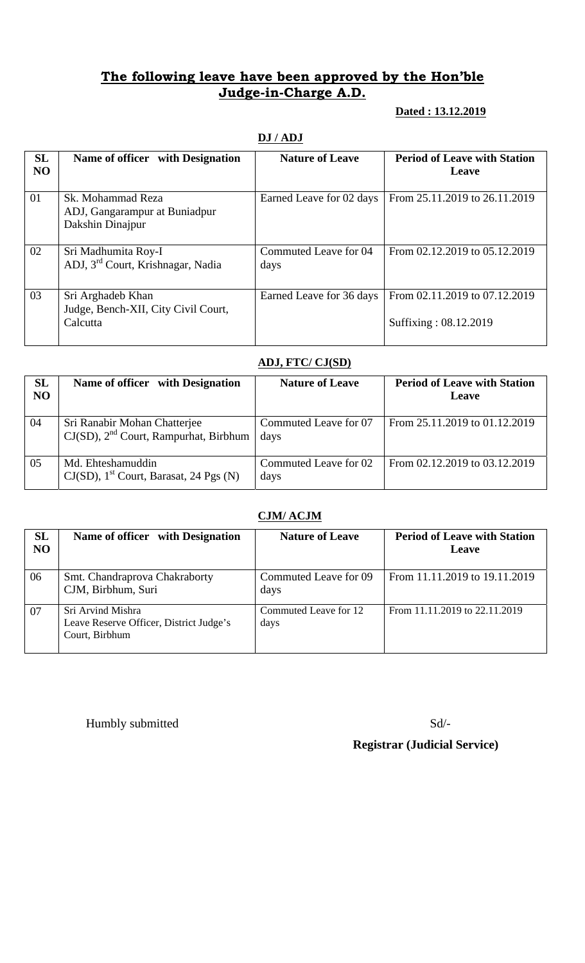## **The following leave have been approved by the Hon'ble Judge-in-Charge A.D.**

#### **Dated : 13.12.2019**

|--|

| <b>SL</b>      | Name of officer with Designation                                       | <b>Nature of Leave</b>        | <b>Period of Leave with Station</b>                    |
|----------------|------------------------------------------------------------------------|-------------------------------|--------------------------------------------------------|
| N <sub>O</sub> |                                                                        |                               | Leave                                                  |
| 01             | Sk. Mohammad Reza<br>ADJ, Gangarampur at Buniadpur<br>Dakshin Dinajpur | Earned Leave for 02 days      | From 25.11.2019 to 26.11.2019                          |
| 02             | Sri Madhumita Roy-I<br>ADJ, 3 <sup>rd</sup> Court, Krishnagar, Nadia   | Commuted Leave for 04<br>days | From 02.12.2019 to 05.12.2019                          |
| 03             | Sri Arghadeb Khan<br>Judge, Bench-XII, City Civil Court,<br>Calcutta   | Earned Leave for 36 days      | From 02.11.2019 to 07.12.2019<br>Suffixing: 08.12.2019 |

### **ADJ, FTC/ CJ(SD)**

| <b>SL</b><br>N <sub>O</sub> | Name of officer with Designation                                                  | <b>Nature of Leave</b>        | <b>Period of Leave with Station</b><br>Leave |
|-----------------------------|-----------------------------------------------------------------------------------|-------------------------------|----------------------------------------------|
| 04                          | Sri Ranabir Mohan Chatterjee<br>CJ(SD), 2 <sup>nd</sup> Court, Rampurhat, Birbhum | Commuted Leave for 07<br>days | From 25.11.2019 to 01.12.2019                |
| 05                          | Md. Ehteshamuddin<br>$CJ(SD)$ , 1 <sup>st</sup> Court, Barasat, 24 Pgs (N)        | Commuted Leave for 02<br>days | From 02.12.2019 to 03.12.2019                |

#### **CJM/ ACJM**

| SL<br>N <sub>O</sub> | Name of officer with Designation                                               | <b>Nature of Leave</b>        | <b>Period of Leave with Station</b><br>Leave |
|----------------------|--------------------------------------------------------------------------------|-------------------------------|----------------------------------------------|
| 06                   | Smt. Chandraprova Chakraborty<br>CJM, Birbhum, Suri                            | Commuted Leave for 09<br>days | From 11.11.2019 to 19.11.2019                |
| 07                   | Sri Arvind Mishra<br>Leave Reserve Officer, District Judge's<br>Court, Birbhum | Commuted Leave for 12<br>days | From 11.11.2019 to 22.11.2019                |

Humbly submitted Sd/-